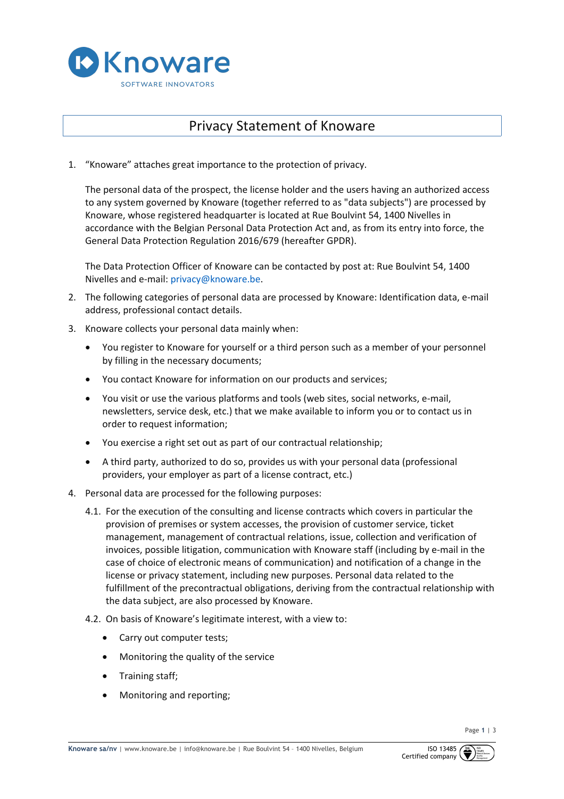

## Privacy Statement of Knoware

1. "Knoware" attaches great importance to the protection of privacy.

The personal data of the prospect, the license holder and the users having an authorized access to any system governed by Knoware (together referred to as "data subjects") are processed by Knoware, whose registered headquarter is located at Rue Boulvint 54, 1400 Nivelles in accordance with the Belgian Personal Data Protection Act and, as from its entry into force, the General Data Protection Regulation 2016/679 (hereafter GPDR).

The Data Protection Officer of Knoware can be contacted by post at: Rue Boulvint 54, 1400 Nivelles and e-mail: privacy@knoware.be.

- 2. The following categories of personal data are processed by Knoware: Identification data, e-mail address, professional contact details.
- 3. Knoware collects your personal data mainly when:
	- You register to Knoware for yourself or a third person such as a member of your personnel by filling in the necessary documents;
	- You contact Knoware for information on our products and services;
	- You visit or use the various platforms and tools (web sites, social networks, e-mail, newsletters, service desk, etc.) that we make available to inform you or to contact us in order to request information;
	- You exercise a right set out as part of our contractual relationship;
	- A third party, authorized to do so, provides us with your personal data (professional providers, your employer as part of a license contract, etc.)
- 4. Personal data are processed for the following purposes:
	- 4.1. For the execution of the consulting and license contracts which covers in particular the provision of premises or system accesses, the provision of customer service, ticket management, management of contractual relations, issue, collection and verification of invoices, possible litigation, communication with Knoware staff (including by e-mail in the case of choice of electronic means of communication) and notification of a change in the license or privacy statement, including new purposes. Personal data related to the fulfillment of the precontractual obligations, deriving from the contractual relationship with the data subject, are also processed by Knoware.
	- 4.2. On basis of Knoware's legitimate interest, with a view to:
		- Carry out computer tests;
		- Monitoring the quality of the service
		- Training staff;
		- Monitoring and reporting;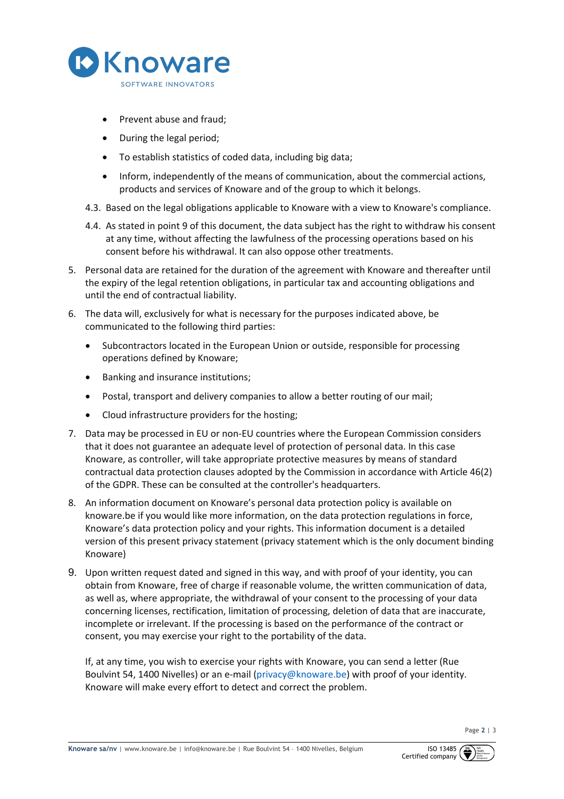

- Prevent abuse and fraud;
- During the legal period;
- To establish statistics of coded data, including big data;
- Inform, independently of the means of communication, about the commercial actions, products and services of Knoware and of the group to which it belongs.
- 4.3. Based on the legal obligations applicable to Knoware with a view to Knoware's compliance.
- 4.4. As stated in point 9 of this document, the data subject has the right to withdraw his consent at any time, without affecting the lawfulness of the processing operations based on his consent before his withdrawal. It can also oppose other treatments.
- 5. Personal data are retained for the duration of the agreement with Knoware and thereafter until the expiry of the legal retention obligations, in particular tax and accounting obligations and until the end of contractual liability.
- 6. The data will, exclusively for what is necessary for the purposes indicated above, be communicated to the following third parties:
	- Subcontractors located in the European Union or outside, responsible for processing operations defined by Knoware;
	- Banking and insurance institutions;
	- Postal, transport and delivery companies to allow a better routing of our mail;
	- Cloud infrastructure providers for the hosting;
- 7. Data may be processed in EU or non-EU countries where the European Commission considers that it does not guarantee an adequate level of protection of personal data. In this case Knoware, as controller, will take appropriate protective measures by means of standard contractual data protection clauses adopted by the Commission in accordance with Article 46(2) of the GDPR. These can be consulted at the controller's headquarters.
- 8. An information document on Knoware's personal data protection policy is available on knoware.be if you would like more information, on the data protection regulations in force, Knoware's data protection policy and your rights. This information document is a detailed version of this present privacy statement (privacy statement which is the only document binding Knoware)
- 9. Upon written request dated and signed in this way, and with proof of your identity, you can obtain from Knoware, free of charge if reasonable volume, the written communication of data, as well as, where appropriate, the withdrawal of your consent to the processing of your data concerning licenses, rectification, limitation of processing, deletion of data that are inaccurate, incomplete or irrelevant. If the processing is based on the performance of the contract or consent, you may exercise your right to the portability of the data.

If, at any time, you wish to exercise your rights with Knoware, you can send a letter (Rue Boulvint 54, 1400 Nivelles) or an e-mail (privacy@knoware.be) with proof of your identity. Knoware will make every effort to detect and correct the problem.